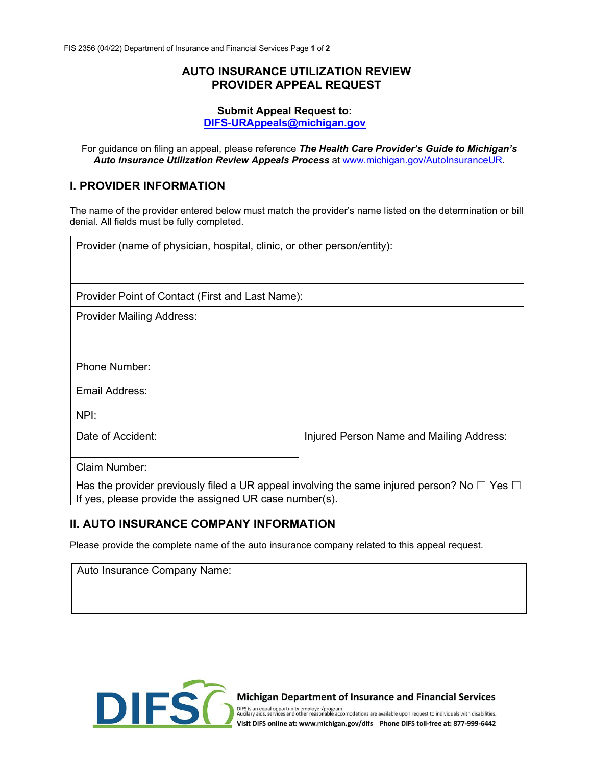#### **AUTO INSURANCE UTILIZATION REVIEW PROVIDER APPEAL REQUEST**

#### **Submit Appeal Request to: [DIFS-URAppeals@michigan.gov](mailto:DIFS-URAppeals@michigan.gov)**

For guidance on filing an appeal, please reference *The Health Care Provider's Guide to Michigan's*  Auto Insurance Utilization Review Appeals Process [at www.michigan.gov/AutoInsuranceUR.](http://www.michigan.gov/AutoInsuranceUR)

# **I. PROVIDER INFORMATION**

The name of the provider entered below must match the provider's name listed on the determination or bill denial. All fields must be fully completed.

| Provider (name of physician, hospital, clinic, or other person/entity):                                                                                         |                                          |  |  |
|-----------------------------------------------------------------------------------------------------------------------------------------------------------------|------------------------------------------|--|--|
|                                                                                                                                                                 |                                          |  |  |
| Provider Point of Contact (First and Last Name):                                                                                                                |                                          |  |  |
| <b>Provider Mailing Address:</b>                                                                                                                                |                                          |  |  |
|                                                                                                                                                                 |                                          |  |  |
| Phone Number:                                                                                                                                                   |                                          |  |  |
| Email Address:                                                                                                                                                  |                                          |  |  |
| NPI:                                                                                                                                                            |                                          |  |  |
| Date of Accident:                                                                                                                                               | Injured Person Name and Mailing Address: |  |  |
| Claim Number:                                                                                                                                                   |                                          |  |  |
| Has the provider previously filed a UR appeal involving the same injured person? No $\Box$ Yes $\Box$<br>If yes, please provide the assigned UR case number(s). |                                          |  |  |

# **II. AUTO INSURANCE COMPANY INFORMATION**

Please provide the complete name of the auto insurance company related to this appeal request.

| Auto Insurance Company Name: |  |  |  |  |  |
|------------------------------|--|--|--|--|--|
|                              |  |  |  |  |  |
|                              |  |  |  |  |  |



Michigan Department of Insurance and Financial Services

DIFS is an equal opportunity employer/program.<br>Auxilary aids, services and other reasonable accomodations are available upon request to individuals with disabilities. Visit DIFS online at: www.michigan.gov/difs Phone DIFS toll-free at: 877-999-6442